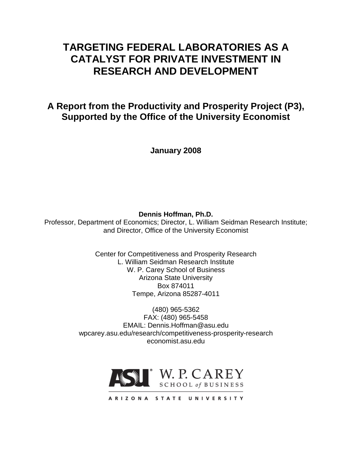# **TARGETING FEDERAL LABORATORIES AS A CATALYST FOR PRIVATE INVESTMENT IN RESEARCH AND DEVELOPMENT**

**A Report from the Productivity and Prosperity Project (P3), Supported by the Office of the University Economist**

**January 2008**

**Dennis Hoffman, Ph.D.**

Professor, Department of Economics; Director, L. William Seidman Research Institute; and Director, Office of the University Economist

> Center for Competitiveness and Prosperity Research L. William Seidman Research Institute W. P. Carey School of Business Arizona State University Box 874011 Tempe, Arizona 85287-4011

(480) 965-5362 FAX: (480) 965-5458 EMAIL: Dennis.Hoffman@asu.edu wpcarey.asu.edu/research/competitiveness-prosperity-research economist.asu.edu

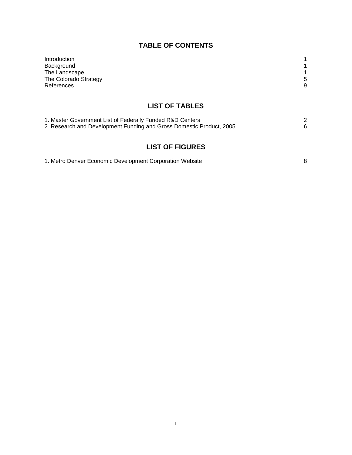# **TABLE OF CONTENTS**

| Introduction<br>Background<br>The Landscape<br>The Colorado Strategy<br>References                                                | 5<br>9 |
|-----------------------------------------------------------------------------------------------------------------------------------|--------|
| <b>LIST OF TABLES</b>                                                                                                             |        |
| 1. Master Government List of Federally Funded R&D Centers<br>2. Research and Development Funding and Gross Domestic Product, 2005 | 2<br>6 |
| <b>LIST OF FIGURES</b>                                                                                                            |        |
| 1. Metro Denver Economic Development Corporation Website                                                                          | 8      |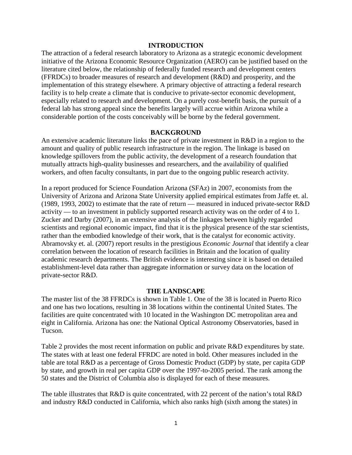#### **INTRODUCTION**

The attraction of a federal research laboratory to Arizona as a strategic economic development initiative of the Arizona Economic Resource Organization (AERO) can be justified based on the literature cited below, the relationship of federally funded research and development centers (FFRDCs) to broader measures of research and development (R&D) and prosperity, and the implementation of this strategy elsewhere. A primary objective of attracting a federal research facility is to help create a climate that is conducive to private-sector economic development, especially related to research and development. On a purely cost-benefit basis, the pursuit of a federal lab has strong appeal since the benefits largely will accrue within Arizona while a considerable portion of the costs conceivably will be borne by the federal government.

### **BACKGROUND**

An extensive academic literature links the pace of private investment in R&D in a region to the amount and quality of public research infrastructure in the region. The linkage is based on knowledge spillovers from the public activity, the development of a research foundation that mutually attracts high-quality businesses and researchers, and the availability of qualified workers, and often faculty consultants, in part due to the ongoing public research activity.

In a report produced for Science Foundation Arizona (SFAz) in 2007, economists from the University of Arizona and Arizona State University applied empirical estimates from Jaffe et. al. (1989, 1993, 2002) to estimate that the rate of return — measured in induced private-sector R&D activity — to an investment in publicly supported research activity was on the order of 4 to 1. Zucker and Darby (2007), in an extensive analysis of the linkages between highly regarded scientists and regional economic impact, find that it is the physical presence of the star scientists, rather than the embodied knowledge of their work, that is the catalyst for economic activity. Abramovsky et. al. (2007) report results in the prestigious *Economic Journal* that identify a clear correlation between the location of research facilities in Britain and the location of quality academic research departments. The British evidence is interesting since it is based on detailed establishment-level data rather than aggregate information or survey data on the location of private-sector R&D.

#### **THE LANDSCAPE**

The master list of the 38 FFRDCs is shown in Table 1. One of the 38 is located in Puerto Rico and one has two locations, resulting in 38 locations within the continental United States. The facilities are quite concentrated with 10 located in the Washington DC metropolitan area and eight in California. Arizona has one: the National Optical Astronomy Observatories, based in Tucson.

Table 2 provides the most recent information on public and private R&D expenditures by state. The states with at least one federal FFRDC are noted in bold. Other measures included in the table are total R&D as a percentage of Gross Domestic Product (GDP) by state, per capita GDP by state, and growth in real per capita GDP over the 1997-to-2005 period. The rank among the 50 states and the District of Columbia also is displayed for each of these measures.

The table illustrates that R&D is quite concentrated, with 22 percent of the nation's total R&D and industry R&D conducted in California, which also ranks high (sixth among the states) in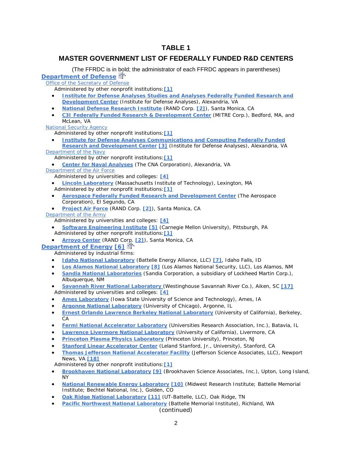# **TABLE 1**

# **MASTER GOVERNMENT LIST OF FEDERALLY FUNDED R&D CENTERS**

(The FFRDC is in [bold](http://www.nsf.gov/statistics/nsf06316/%23top%23top); the administrator of each FFRDC appears in parentheses) **[Department of Defense](http://www.defenselink.mil/)**

[Office of the Secretary of Defense](http://www.defenselink.mil/osd/)

Administered by other nonprofit institutions:**[\[1\]](http://www.nsf.gov/statistics/nsf06316/%23fn1%23fn1)**

- **[Institute for Defense Analyses Studies and Analyses Federally Funded Research and](http://www.nsf.gov/cgi-bin/good-bye?http://www.ida.org/)  [Development Center](http://www.nsf.gov/cgi-bin/good-bye?http://www.ida.org/)** (Institute for Defense Analyses), Alexandria, VA
- **[National Defense Research Institute](http://www.nsf.gov/cgi-bin/good-bye?http://www.rand.org/nsrd/ndri.html)** (RAND Corp. **[\[2\]](http://www.nsf.gov/statistics/nsf06316/%23fn2%23fn2)**), Santa Monica, CA
- **[C3I Federally Funded Research & Development Center](http://www.nsf.gov/cgi-bin/good-bye?http://www.mitre.org/about/ffrdcs/c3i.html)** (MITRE Corp.), Bedford, MA, and McLean, VA

[National Security Agency](http://www.nsa.gov/)

Administered by other nonprofit institutions:**[\[1\]](http://www.nsf.gov/statistics/nsf06316/%23fn1%23fn1)**

• **[Institute for Defense Analyses Communications and Computing](http://www.nsf.gov/cgi-bin/good-bye?http://www.ida.org/) Federally Funded [Research and Development Center](http://www.nsf.gov/cgi-bin/good-bye?http://www.ida.org/) [\[3\]](http://www.nsf.gov/statistics/nsf06316/%23fn3%23fn3)** (Institute for Defense Analyses), Alexandria, VA

[Department of the Navy](http://www.navy.mil/)

Administered by other nonprofit institutions:**[\[1\]](http://www.nsf.gov/statistics/nsf06316/%23fn1%23fn1)**

• **[Center for Naval Analyses](http://www.nsf.gov/cgi-bin/good-bye?http://www.cna.org)** (The CNA Corporation), Alexandria, VA [Department of the Air Force](http://www.af.mil/)

Administered by universities and colleges: **[\[4\]](http://www.nsf.gov/statistics/nsf06316/%23fn4%23fn4)**

- **[Lincoln Laboratory](http://www.nsf.gov/cgi-bin/good-bye?http://www.ll.mit.edu/)** (Massachusetts Institute of Technology), Lexington, MA Administered by other nonprofit institutions:**[\[1\]](http://www.nsf.gov/statistics/nsf06316/%23fn1%23fn1)**
- **[Aerospace Federally Funded Research and Development Center](http://www.nsf.gov/cgi-bin/good-bye?http://www.aero.org/)** (The Aerospace Corporation), El Segundo, CA
- **[Project Air Force](http://www.nsf.gov/cgi-bin/good-bye?http://www.rand.org/organization/paf/)** (RAND Corp. **[\[2\]](http://www.nsf.gov/statistics/nsf06316/%23fn2%23fn2)**), Santa Monica, CA
- [Department of the Army](http://www.army.mil/)

Administered by universities and colleges: **[\[4\]](http://www.nsf.gov/statistics/nsf06316/%23fn4%23fn4)**

- **[Software Engineering Institute](http://www.nsf.gov/cgi-bin/good-bye?http://www.sei.cmu.edu/) [\[5\]](http://www.nsf.gov/statistics/nsf06316/%23fn5%23fn5)** (Carnegie Mellon University), Pittsburgh, PA Administered by other nonprofit institutions:**[\[1\]](http://www.nsf.gov/statistics/nsf06316/%23fn1%23fn1)**
- **[Arroyo Center](http://www.nsf.gov/cgi-bin/good-bye?http://www.rand.org/organization/ard/)** (RAND Corp. **[\[2\]](http://www.nsf.gov/statistics/nsf06316/%23fn2%23fn2)**), Santa Monica, CA

#### **[Department of Energy](http://www.doe.gov/) [\[6\]](http://www.nsf.gov/statistics/nsf06316/%23fn6%23fn6)**

Administered by industrial firms:

- **[Idaho National Laboratory](http://www.inl.gov/)** (Battelle Energy Alliance, LLC) **[\[7\]](http://www.nsf.gov/statistics/nsf06316/%23fn7%23fn7)**, Idaho Falls, ID
- **[Los Alamos National Laboratory](http://www.lanl.gov/) [\[8\]](http://www.nsf.gov/statistics/nsf06316/%23fn8%23fn8)** (Los Alamos National Security, LLC), Los Alamos, NM
- **[Sandia National Laboratories](http://www.sandia.gov/)** (Sandia Corporation, a subsidiary of Lockheed Martin Corp.), Albuquerque, NM
- **[Savannah River National Laboratory](http://www.srs.gov/general/srs-home.html)** (Westinghouse Savannah River Co.), Aiken, SC **[\[17\]](http://www.nsf.gov/statistics/nsf06316/%23fn17%23fn17)** Administered by universities and colleges: **[\[4\]](http://www.nsf.gov/statistics/nsf06316/%23fn4%23fn4)**
- **[Ames Laboratory](http://www.ameslab.gov/)** (Iowa State University of Science and Technology), Ames, IA
- **[Argonne National Laboratory](http://www.anl.gov/)** (University of Chicago), Argonne, IL
- **[Ernest Orlando Lawrence Berkeley National Laboratory](http://www.lbl.gov/)** (University of California), Berkeley, CA
- **[Fermi National Accelerator Laboratory](http://www.fnal.gov/)** (Universities Research Association, Inc.), Batavia, IL
- **[Lawrence Livermore National Laboratory](http://www.llnl.gov/)** (University of California), Livermore, CA
- **[Princeton Plasma Physics Laboratory](http://www.pppl.gov/)** (Princeton University), Princeton, NJ
- **[Stanford Linear Accelerator Center](http://www.nsf.gov/cgi-bin/good-bye?http://www.slac.stanford.edu/)** (Leland Stanford, Jr., University), Stanford, CA
- **[Thomas Jefferson National Accelerator Facility](http://www.jlab.org/)** (Jefferson Science Associates, LLC), Newport News, VA **[\[18\]](http://www.nsf.gov/statistics/nsf06316/%23fn18%23fn18)**
- Administered by other nonprofit institutions:**[\[1\]](http://www.nsf.gov/statistics/nsf06316/%23fn1%23fn1)**
- **[Brookhaven National Laboratory](http://www.bnl.gov/) [\[9\]](http://www.nsf.gov/statistics/nsf06316/%23fn9%23fn9)** (Brookhaven Science Associates, Inc.), Upton, Long Island, NY
- **[National Renewable Energy Laboratory](http://www.nrel.gov/) [\[10\]](http://www.nsf.gov/statistics/nsf06316/%23fn10%23fn10)** (Midwest Research Institute; Battelle Memorial Institute; Bechtel National, Inc.), Golden, CO
- **[Oak Ridge National Laboratory](http://www.ornl.gov/) [\[11\]](http://www.nsf.gov/statistics/nsf06316/%23fn11%23fn11)** (UT-Battelle, LLC), Oak Ridge, TN
- **[Pacific Northwest National Laboratory](http://www.pnl.gov/)** (Battelle Memorial Institute), Richland, WA (continued)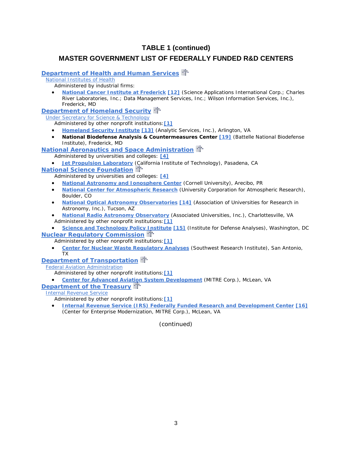# **TABLE 1 (continued)**

# **MASTER GOVERNMENT LIST OF FEDERALLY FUNDED R&D CENTERS**

# **[Department of Health and Human Services](http://www.os.dhhs.gov/)**

[National Institutes of Health](http://www.nih.gov/)

Administered by industrial firms:

• **[National Cancer Institute at Frederick](http://web.ncifcrf.gov/) [\[12\]](http://www.nsf.gov/statistics/nsf06316/%23fn12%23fn12)** (Science Applications International Corp.; Charles River Laboratories, Inc.; Data Management Services, Inc.; Wilson Information Services, Inc.), Frederick, MD

**[Department of Homeland Security](http://www.dhs.gov/)** 

[Under Secretary for Science & Technology](http://www.dhs.gov/xabout/structure/editorial_0530.shtm)

Administered by other nonprofit institutions:**[\[1\]](http://www.nsf.gov/statistics/nsf06316/%23fn1%23fn1)**

• **[Homeland Security Institute](http://www.nsf.gov/cgi-bin/good-bye?http://www.homelandsecurity.org) [\[13\]](http://www.nsf.gov/statistics/nsf06316/%23fn13%23fn13)** (Analytic Services, Inc.), Arlington, VA

• **National Biodefense Analysis & Countermeasures Center [\[19\]](http://www.nsf.gov/statistics/nsf06316/%23fn19%23fn19)** (Battelle National Biodefense Institute), Frederick, MD

#### **[National Aeronautics and Space Administration](http://www.hq.nasa.gov/)**

Administered by universities and colleges: **[\[4\]](http://www.nsf.gov/statistics/nsf06316/%23fn4%23fn4)**

**[Jet Propulsion Laboratory](http://www.jpl.nasa.gov/)** [\(Ca](http://www.nsf.gov/statistics/nsf06316/%23top%23top)lifornia Institute of Technology), Pasadena, CA

#### **[National Science Foundation](http://www.nsf.gov/)**

Administered by universities and colleges: **[\[4\]](http://www.nsf.gov/statistics/nsf06316/%23fn4%23fn4)**

- **[National Astronomy and Ionosphere Center](http://www.nsf.gov/cgi-bin/good-bye?http://www.naic.edu/)** (Cornell University), Arecibo, PR
- **[National Center for Atmospheric Research](http://www.nsf.gov/cgi-bin/good-bye?http://www.ncar.ucar.edu/)** (University Corporation for Atmospheric Research), Boulder, CO
- **[National Optical Astronomy Observatories](http://www.nsf.gov/cgi-bin/good-bye?http://www.noao.edu) [\[14\]](http://www.nsf.gov/statistics/nsf06316/%23fn14%23fn14)** (Association of Universities for Research in Astronomy, Inc.), Tucson, AZ
- **[National Radio Astronomy Observatory](http://www.nsf.gov/cgi-bin/good-bye?http://www.gb.nrao.edu/)** (Associated Universities, Inc.), Charlottesville, VA Administered by other nonprofit institutions:**[\[1\]](http://www.nsf.gov/statistics/nsf06316/%23fn1%23fn1)**
- **[Science and Technology Policy Institute](http://www.nsf.gov/cgi-bin/good-bye?http://www.ida.org/stpi/index.html) [\[15\]](http://www.nsf.gov/statistics/nsf06316/%23fn15%23fn15)** (Institute for Defense Analyses), Washington, DC

#### **[Nuclear Regulatory Commission](http://www.nrc.gov/)**

Administered by other nonprofit institutions:**[\[1\]](http://www.nsf.gov/statistics/nsf06316/%23fn1%23fn1)**

• **[Center for Nuclear Waste Regulatory Analyses](http://www.nsf.gov/cgi-bin/good-bye?http://www.swri.org/4org/d20/d20home.htm)** (Southwest Research Institute), San Antonio, TX

# **[Department of Transportation](http://www.dot.gov/)**<sup>...</sup>

[Federal Aviation Administration](http://www.faa.gov/)

- Administered by other nonprofit institutions:**[\[1\]](http://www.nsf.gov/statistics/nsf06316/%23fn1%23fn1)**
- **[Center for Advanced Aviation System Development](http://www.nsf.gov/cgi-bin/good-bye?http://www.caasd.org/)** (MITRE Corp.), McLean, VA

**[Department of the Treasury](http://www.ustreas.gov/)** 

#### [Internal Revenue Service](http://www.irs.ustreas.gov/prod/)

Administered by other nonprofit institutions:**[\[1\]](http://www.nsf.gov/statistics/nsf06316/%23fn1%23fn1)**

• **[Internal Revenue Service \(IRS\) Federally Funded Research and Development Center](http://www.nsf.gov/cgi-bin/good-bye?http://www.mitre.org/about/ffrdcs/cem.html) [\[16\]](http://www.nsf.gov/statistics/nsf06316/%23fn16%23fn16)** (Center for Enterprise Modernization, MITRE Corp.), McLean, VA

(continued)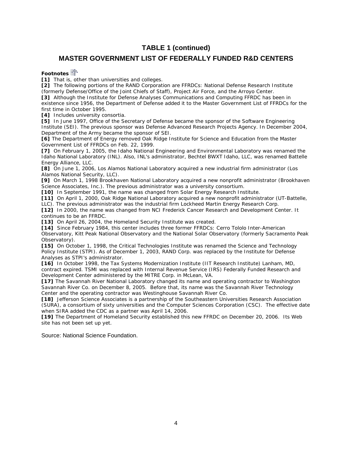# **TABLE 1 (continued)**

### **MASTER GOVERNMENT LIST OF FEDERALLY FUNDED R&D CENTERS**

**Footnotes**

[1] That is, other than universities and colleges.

**[2]** The following portions of the RAND Corporation are FFRDCs: National Defense Research Institute (formerly Defense/Office of the Joint Chiefs of Staff), Project Air Force, and the Arroyo Center.

**[3]** Although the Institute for Defense Analyses Communications and Computing FFRDC has been in existence since 1956, the Department of Defense added it to the Master Government List of FFRDCs for the first time in October 1995.

**[4]** Includes university consortia.

**[5]** In June 1997, Office of the Secretary of Defense became the sponsor of the Software Engineering Institute (SEI). The previous sponsor was Defense Advanced Research Projects Agency. In December 2004, Department of the Army became the sponsor of SEI.

**[6]** The Department of Energy removed Oak Ridge Institute for Science and Education from the Master Government List of FFRDCs on Feb. 22, 1999.

**[7]** On February 1, 2005, the Idaho National Engineering and Environmental Laboratory was renamed the Idaho National Laboratory (INL). Also, INL's administrator, Bechtel BWXT Idaho, LLC, was renamed Battelle Energy Alliance, LLC.

**[8]** On June 1, 2006, Los Alamos National Laboratory acquired a new industrial firm administrator (Los Alamos National Security, LLC).

**[9]** On March 1, 1998 Brookhaven National Laboratory acquired a new nonprofit administrator (Brookhaven Science Associates, Inc.). The previous administrator was a university consortium.

**[10]** In September 1991, the name was changed from Solar Energy Research Institute.

**[11]** On April 1, 2000, Oak Ridge National Laboratory acquired a new nonprofit administrator (UT-Battelle,

LLC). The previous administrator was the industrial firm Lockheed Martin Energy Research Corp.

**[12]** In 2000, the name was changed from NCI Frederick Cancer Research and Development Center. It continues to be an FFRDC.

**[13]** On April 26, 2004, the Homeland Security Institute was created.

**[14]** Since February 1984, this center includes three former FFRDCs: Cerro Tololo Inter-American Observatory, Kitt Peak National Observatory and the National Solar Observatory (formerly Sacramento Peak Observatory).

**[15]** On October 1, 1998, the Critical Technologies Institute was renamed the Science and Technology Policy Institute (STPI). As of December 1, 2003, RAND Corp. was replaced by the Institute for Defense Analyses as STPI's administrator.

**[16]** In October 1998, the Tax Systems Modernization Institute (IIT Research Institute) Lanham, MD, contract expired. TSMI was replaced with Internal Revenue Service (IRS) Federally Funded Research and Development Center administered by the MITRE Corp. in McLean, VA.

**[17]** The Savannah River National Laboratory changed its name and operating contractor to Washington Savannah River Co. on December 8, 2005. Before that, its name was the Savannah River Technology Center and the operating contractor was Westinghouse Savannah River Co.

**[18]** Jefferson Science Associates is a partnership of the Southeastern Universities Research Association (SURA), a consortium of sixty universities and the Computer Sciences Corporation (CSC). The effective date when SIRA added the CDC as a partner was April 14, 2006.

**[19]** The Department of Homeland Security established this new FFRDC on December 20, 2006. Its Web site has not been set up yet.

Source: National Science Foundation.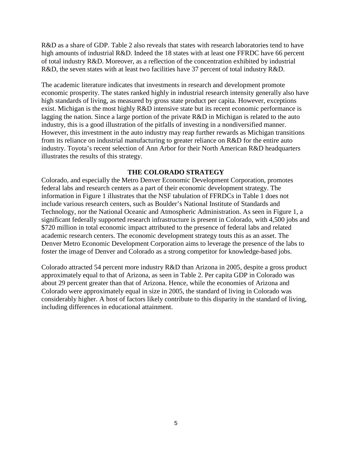R&D as a share of GDP. Table 2 also reveals that states with research laboratories tend to have high amounts of industrial R&D. Indeed the 18 states with at least one FFRDC have 66 percent of total industry R&D. Moreover, as a reflection of the concentration exhibited by industrial R&D, the seven states with at least two facilities have 37 percent of total industry R&D.

The academic literature indicates that investments in research and development promote economic prosperity. The states ranked highly in industrial research intensity generally also have high standards of living, as measured by gross state product per capita. However, exceptions exist. Michigan is the most highly R&D intensive state but its recent economic performance is lagging the nation. Since a large portion of the private R&D in Michigan is related to the auto industry, this is a good illustration of the pitfalls of investing in a nondiversified manner. However, this investment in the auto industry may reap further rewards as Michigan transitions from its reliance on industrial manufacturing to greater reliance on R&D for the entire auto industry. Toyota's recent selection of Ann Arbor for their North American R&D headquarters illustrates the results of this strategy.

### **THE COLORADO STRATEGY**

Colorado, and especially the Metro Denver Economic Development Corporation, promotes federal labs and research centers as a part of their economic development strategy. The information in Figure 1 illustrates that the NSF tabulation of FFRDCs in Table 1 does not include various research centers, such as Boulder's National Institute of Standards and Technology, nor the National Oceanic and Atmospheric Administration. As seen in Figure 1, a significant federally supported research infrastructure is present in Colorado, with 4,500 jobs and \$720 million in total economic impact attributed to the presence of federal labs and related academic research centers. The economic development strategy touts this as an asset. The Denver Metro Economic Development Corporation aims to leverage the presence of the labs to foster the image of Denver and Colorado as a strong competitor for knowledge-based jobs.

Colorado attracted 54 percent more industry R&D than Arizona in 2005, despite a gross product approximately equal to that of Arizona, as seen in Table 2. Per capita GDP in Colorado was about 29 percent greater than that of Arizona. Hence, while the economies of Arizona and Colorado were approximately equal in size in 2005, the standard of living in Colorado was considerably higher. A host of factors likely contribute to this disparity in the standard of living, including differences in educational attainment.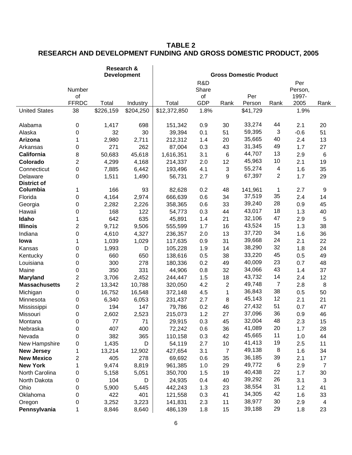# **TABLE 2 RESEARCH AND DEVELOPMENT FUNDING AND GROSS DOMESTIC PRODUCT, 2005**

|                      | Research &<br><b>Development</b> |           |           |                               |                  |                |               |                         |               |                  |
|----------------------|----------------------------------|-----------|-----------|-------------------------------|------------------|----------------|---------------|-------------------------|---------------|------------------|
|                      |                                  |           |           | <b>Gross Domestic Product</b> |                  |                |               |                         |               |                  |
|                      |                                  |           |           |                               | R&D              |                |               |                         | Per           |                  |
|                      | Number                           |           |           |                               | Share            |                |               |                         | Person,       |                  |
|                      | of<br><b>FFRDC</b>               | Total     | Industry  | Total                         | of<br><b>GDP</b> | Rank           | Per<br>Person | Rank                    | 1997-<br>2005 | Rank             |
| <b>United States</b> | 38                               | \$226,159 | \$204,250 | \$12,372,850                  | 1.8%             |                | \$41,729      |                         | 1.9%          |                  |
|                      |                                  |           |           |                               |                  |                |               |                         |               |                  |
| Alabama              | 0                                | 1,417     | 698       | 151,342                       | 0.9              | 30             | 33,274        | 44                      | 2.1           | 20               |
| Alaska               | 0                                | 32        | 30        | 39,394                        | 0.1              | 51             | 59,395        | $\sqrt{3}$              | $-0.6$        | 51               |
| Arizona              | 1                                | 2,980     | 2,711     | 212,312                       | 1.4              | 20             | 35,665        | 40                      | 2.4           | 13               |
| Arkansas             | 0                                | 271       | 262       | 87,004                        | 0.3              | 43             | 31,345        | 49                      | 1.7           | 27               |
| California           | 8                                | 50,683    | 45,618    | 1,616,351                     | 3.1              | 6              | 44,707        | 13                      | 2.9           | $\,6$            |
| Colorado             | $\overline{c}$                   | 4,299     | 4,168     | 214,337                       | 2.0              | 12             | 45,963        | 10                      | 2.1           | 19               |
| Connecticut          | 0                                | 7,885     | 6,442     | 193,496                       | 4.1              | 3              | 55,274        | $\overline{\mathbf{4}}$ | 1.6           | 35               |
| Delaware             | 0                                | 1,511     | 1,490     | 56,731                        | 2.7              | 9              | 67,397        | $\overline{2}$          | 1.7           | 29               |
| <b>District of</b>   |                                  |           |           |                               |                  |                |               |                         |               |                  |
| Columbia             | 1                                | 166       | 93        | 82,628                        | 0.2              | 48             | 141,961       | 1                       | 2.7           | $\boldsymbol{9}$ |
| Florida              | 0                                | 4,164     | 2,974     | 666,639                       | 0.6              | 34             | 37,519        | 35                      | 2.4           | 14               |
| Georgia              | 0                                | 2,282     | 2,226     | 358,365                       | 0.6              | 33             | 39,240        | 28                      | 0.9           | 45               |
| Hawaii               | 0                                | 168       | 122       | 54,773                        | 0.3              | 44             | 43,017        | 18                      | 1.3           | 40               |
| Idaho                | 1                                | 642       | 635       | 45,891                        | 1.4              | 21             | 32,106        | 47                      | 2.9           | 5                |
| <b>Illinois</b>      | $\overline{2}$                   | 9,712     | 9,506     | 555,599                       | 1.7              | 16             | 43,524        | 15                      | 1.3           | 38               |
| Indiana              | 0                                | 4,610     | 4,327     | 236,357                       | 2.0              | 13             | 37,720        | 34                      | 1.6           | 36               |
| lowa                 | 1                                | 1,039     | 1,029     | 117,635                       | 0.9              | 31             | 39,668        | 24                      | 2.1           | 22               |
| Kansas               | 0                                | 1,993     | D         | 105,228                       | 1.9              | 14             | 38,290        | 32                      | 1.8           | 24               |
| Kentucky             | 0                                | 660       | 650       | 138,616                       | 0.5              | 38             | 33,220        | 45                      | 0.5           | 49               |
| Louisiana            | 0                                | 300       | 278       | 180,336                       | 0.2              | 49             | 40,009        | 23                      | 0.7           | 48               |
| Maine                | 0                                | 350       | 331       | 44,906                        | 0.8              | 32             | 34,066        | 43                      | 1.4           | 37               |
| <b>Maryland</b>      | $\overline{c}$                   | 3,706     | 2,452     | 244,447                       | 1.5              | 18             | 43,732        | 14                      | 2.4           | 12               |
| <b>Massachusetts</b> | $\overline{c}$                   | 13,342    | 10,788    | 320,050                       | 4.2              | $\overline{2}$ | 49,748        | $\overline{7}$          | 2.8           | 8                |
| Michigan             | 0                                | 16,752    | 16,548    | 372,148                       | 4.5              | 1              | 36,843        | 38                      | 0.5           | 50               |
| Minnesota            | 0                                | 6,340     | 6,053     | 231,437                       | 2.7              | $\, 8$         | 45,143        | 12                      | 2.1           | 21               |
| Mississippi          | 0                                | 194       | 147       | 79,786                        | 0.2              | 46             | 27,432        | 51                      | 0.7           | 47               |
| Missouri             | 0                                | 2,602     | 2,523     | 215,073                       | 1.2              | 27             | 37,096        | 36                      | 0.9           | 46               |
| Montana              | 0                                | 77        | 71        | 29,915                        | 0.3              | 45             | 32,004        | 48                      | 2.3           | 15               |
| Nebraska             | 0                                | 407       | 400       | 72,242                        | 0.6              | 36             | 41,089        | 20                      | 1.7           | 28               |
| Nevada               | 0                                | 382       | 365       | 110,158                       | 0.3              | 42             | 45,665        | 11                      | 1.0           | 44               |
| New Hampshire        | 0                                | 1,435     | D         | 54,119                        | 2.7              | 10             | 41,413        | 19                      | 2.5           | 11               |
| <b>New Jersey</b>    | 1                                | 13,214    | 12,902    | 427,654                       | 3.1              | $\overline{7}$ | 49,138        | 8                       | 1.6           | 34               |
| <b>New Mexico</b>    | $\overline{\mathbf{c}}$          | 405       | 278       | 69,692                        | 0.6              | 35             | 36,185        | 39                      | 2.1           | 17               |
| <b>New York</b>      | 1                                | 9,474     | 8,819     | 961,385                       | $1.0$            | 29             | 49,772        | 6                       | 2.9           | $\overline{7}$   |
| North Carolina       | 0                                | 5,158     | 5,051     | 350,700                       | 1.5              | 19             | 40,438        | 22                      | 1.7           | 30               |
| North Dakota         | 0                                | 104       | D         | 24,935                        | 0.4              | 40             | 39,292        | 26                      | 3.1           | 3                |
| Ohio                 | 0                                | 5,900     | 5,445     | 442,243                       | 1.3              | 23             | 38,554        | 31                      | 1.2           | 41               |
| Oklahoma             | 0                                | 422       | 401       | 121,558                       | 0.3              | 41             | 34,305        | 42                      | 1.6           | 33               |
| Oregon               | 0                                | 3,252     | 3,223     | 141,831                       | 2.3              | 11             | 38,977        | 30                      | 2.9           | 4                |
| Pennsylvania         | 1                                | 8,846     | 8,640     | 486,139                       | 1.8              | 15             | 39,188        | 29                      | 1.8           | 23               |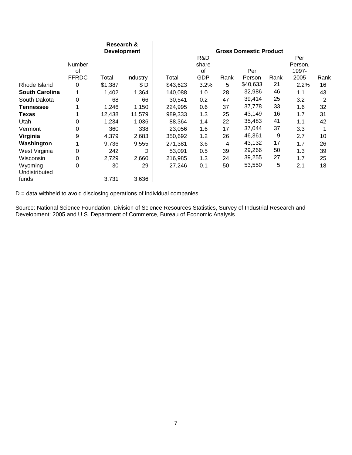|                          | Research &<br><b>Development</b> |         |          | <b>Gross Domestic Product</b> |              |      |          |      |                |      |  |
|--------------------------|----------------------------------|---------|----------|-------------------------------|--------------|------|----------|------|----------------|------|--|
|                          | Number                           |         |          |                               | R&D<br>share |      |          |      | Per<br>Person, |      |  |
|                          | of                               |         |          |                               | οf           |      | Per      |      | 1997-          |      |  |
|                          | <b>FFRDC</b>                     | Total   | Industry | Total                         | GDP          | Rank | Person   | Rank | 2005           | Rank |  |
| Rhode Island             | 0                                | \$1,387 | \$D      | \$43,623                      | 3.2%         | 5    | \$40,633 | 21   | 2.2%           | 16   |  |
| <b>South Carolina</b>    | 1                                | 1,402   | 1,364    | 140,088                       | 1.0          | 28   | 32,986   | 46   | 1.1            | 43   |  |
| South Dakota             | 0                                | 68      | 66       | 30,541                        | 0.2          | 47   | 39,414   | 25   | 3.2            | 2    |  |
| Tennessee                |                                  | 1,246   | 1,150    | 224,995                       | 0.6          | 37   | 37,778   | 33   | 1.6            | 32   |  |
| <b>Texas</b>             |                                  | 12,438  | 11,579   | 989,333                       | 1.3          | 25   | 43,149   | 16   | 1.7            | 31   |  |
| Utah                     | 0                                | 1,234   | 1,036    | 88,364                        | 1.4          | 22   | 35,483   | 41   | 1.1            | 42   |  |
| Vermont                  | 0                                | 360     | 338      | 23,056                        | 1.6          | 17   | 37,044   | 37   | 3.3            |      |  |
| Virginia                 | 9                                | 4,379   | 2,683    | 350,692                       | 1.2          | 26   | 46,361   | 9    | 2.7            | 10   |  |
| Washington               | 1                                | 9,736   | 9,555    | 271,381                       | 3.6          | 4    | 43,132   | 17   | 1.7            | 26   |  |
| West Virginia            | 0                                | 242     | D        | 53,091                        | 0.5          | 39   | 29,266   | 50   | 1.3            | 39   |  |
| Wisconsin                | 0                                | 2,729   | 2,660    | 216,985                       | 1.3          | 24   | 39,255   | 27   | 1.7            | 25   |  |
| Wyoming<br>Undistributed | 0                                | 30      | 29       | 27,246                        | 0.1          | 50   | 53,550   | 5    | 2.1            | 18   |  |
| funds                    |                                  | 3,731   | 3,636    |                               |              |      |          |      |                |      |  |

D = data withheld to avoid disclosing operations of individual companies.

Source: National Science Foundation, Division of Science Resources Statistics, Survey of Industrial Research and Development: 2005 and U.S. Department of Commerce, Bureau of Economic Analysis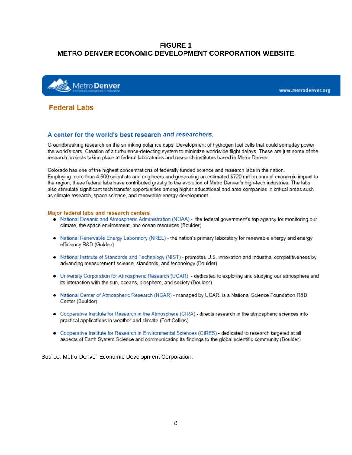# **FIGURE 1 METRO DENVER ECONOMIC DEVELOPMENT CORPORATION WEBSITE**



www.metrodenver.org

# **Federal Labs**

#### A center for the world's best research and researchers.

Groundbreaking research on the shrinking polar ice caps. Development of hydrogen fuel cells that could someday power the world's cars. Creation of a turbulence-detecting system to minimize worldwide flight delays. These are just some of the research projects taking place at federal laboratories and research institutes based in Metro Denver.

Colorado has one of the highest concentrations of federally funded science and research labs in the nation. Employing more than 4,500 scientists and engineers and generating an estimated \$720 million annual economic impact to the region, these federal labs have contributed greatly to the evolution of Metro Denver's high-tech industries. The labs also stimulate significant tech transfer opportunities among higher educational and area companies in critical areas such as climate research, space science, and renewable energy development.

#### Major federal labs and research centers

- National Oceanic and Atmospheric Administration (NOAA) the federal government's top agency for monitoring our climate, the space environment, and ocean resources (Boulder)
- National Renewable Energy Laboratory (NREL) the nation's primary laboratory for renewable energy and energy efficiency R&D (Golden)
- National Institute of Standards and Technology (NIST) promotes U.S. innovation and industrial competitiveness by advancing measurement science, standards, and technology (Boulder)
- University Corporation for Atmospheric Research (UCAR) dedicated to exploring and studying our atmosphere and its interaction with the sun, oceans, biosphere, and society (Boulder)
- . National Center of Atmospheric Research (NCAR) managed by UCAR, is a National Science Foundation R&D Center (Boulder)
- Cooperative Institute for Research in the Atmosphere (CIRA) directs research in the atmospheric sciences into practical applications in weather and climate (Fort Collins)
- Cooperative Institute for Research in Environmental Sciences (CIRES) dedicated to research targeted at all aspects of Earth System Science and communicating its findings to the global scientific community (Boulder)

Source: Metro Denver Economic Development Corporation.